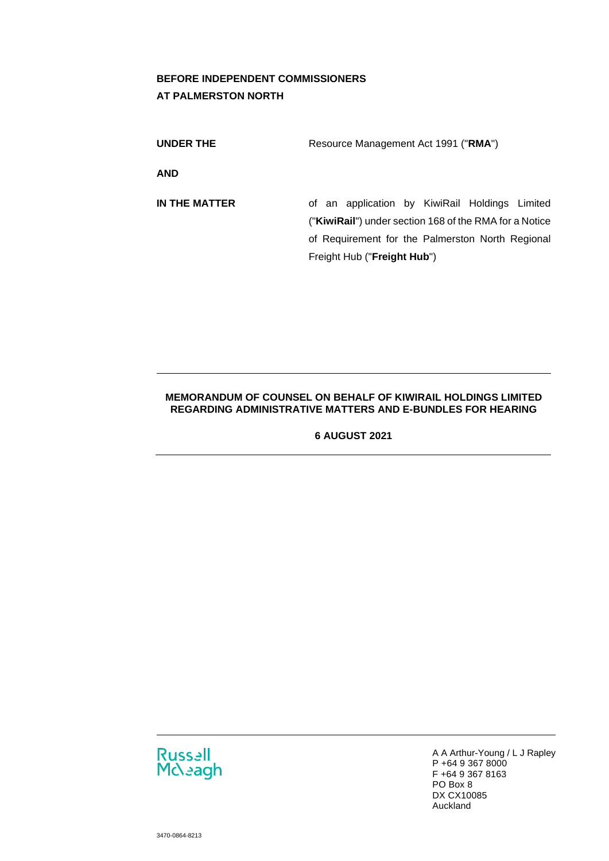# **BEFORE INDEPENDENT COMMISSIONERS AT PALMERSTON NORTH**

| UNDER THE  | Resource Management Act 1991 ("RMA") |
|------------|--------------------------------------|
| <b>AND</b> |                                      |

**IN THE MATTER** of an application by KiwiRail Holdings Limited ("**KiwiRail**") under section 168 of the RMA for a Notice of Requirement for the Palmerston North Regional Freight Hub ("**Freight Hub**")

## **MEMORANDUM OF COUNSEL ON BEHALF OF KIWIRAIL HOLDINGS LIMITED REGARDING ADMINISTRATIVE MATTERS AND E-BUNDLES FOR HEARING**

**6 AUGUST 2021** 



A A Arthur-Young / L J Rapley P +64 9 367 8000 F +64 9 367 8163 PO Box 8 DX CX10085 Auckland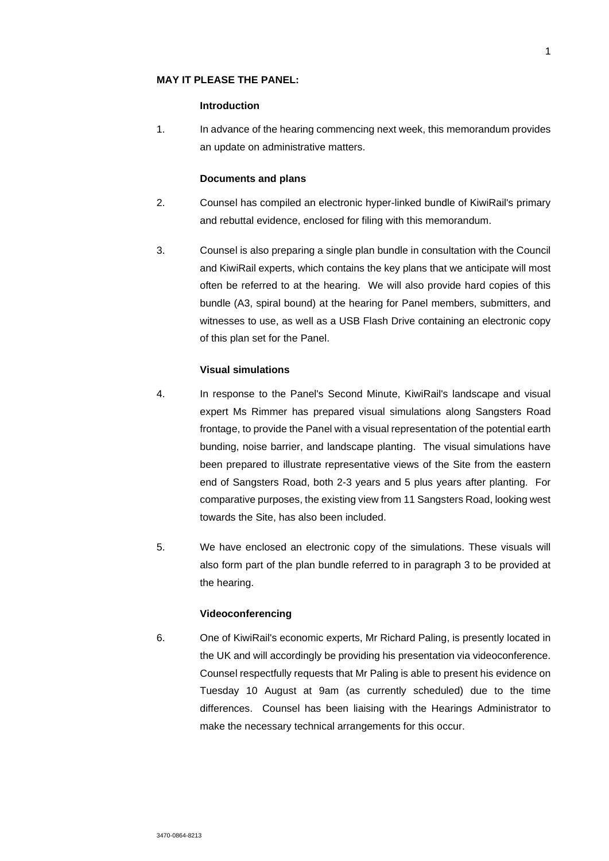### **MAY IT PLEASE THE PANEL:**

#### **Introduction**

1. In advance of the hearing commencing next week, this memorandum provides an update on administrative matters.

### **Documents and plans**

- 2. Counsel has compiled an electronic hyper-linked bundle of KiwiRail's primary and rebuttal evidence, enclosed for filing with this memorandum.
- 3. Counsel is also preparing a single plan bundle in consultation with the Council and KiwiRail experts, which contains the key plans that we anticipate will most often be referred to at the hearing. We will also provide hard copies of this bundle (A3, spiral bound) at the hearing for Panel members, submitters, and witnesses to use, as well as a USB Flash Drive containing an electronic copy of this plan set for the Panel.

#### **Visual simulations**

- 4. In response to the Panel's Second Minute, KiwiRail's landscape and visual expert Ms Rimmer has prepared visual simulations along Sangsters Road frontage, to provide the Panel with a visual representation of the potential earth bunding, noise barrier, and landscape planting. The visual simulations have been prepared to illustrate representative views of the Site from the eastern end of Sangsters Road, both 2-3 years and 5 plus years after planting. For comparative purposes, the existing view from 11 Sangsters Road, looking west towards the Site, has also been included.
- 5. We have enclosed an electronic copy of the simulations. These visuals will also form part of the plan bundle referred to in paragraph 3 to be provided at the hearing.

#### **Videoconferencing**

6. One of KiwiRail's economic experts, Mr Richard Paling, is presently located in the UK and will accordingly be providing his presentation via videoconference. Counsel respectfully requests that Mr Paling is able to present his evidence on Tuesday 10 August at 9am (as currently scheduled) due to the time differences. Counsel has been liaising with the Hearings Administrator to make the necessary technical arrangements for this occur.